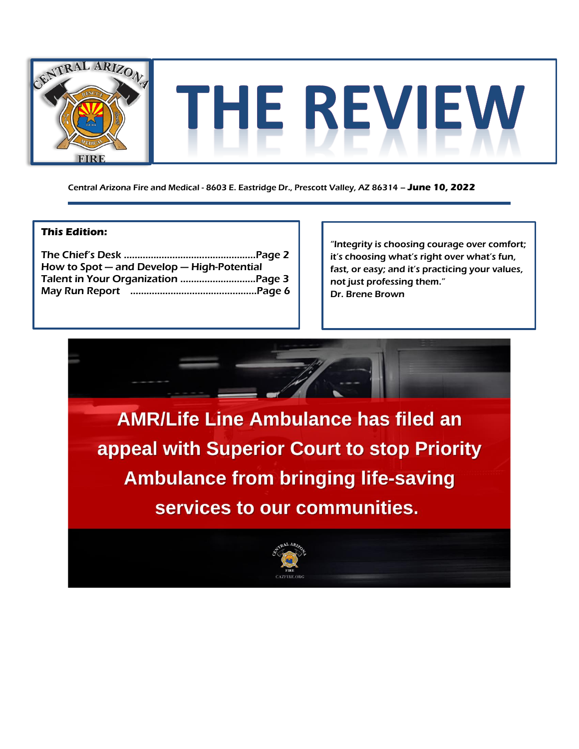

Central Arizona Fire and Medical - 8603 E. Eastridge Dr., Prescott Valley, AZ 86314 – **June 10, 2022**

#### **This Edition:**

| How to Spot - and Develop - High-Potential |  |
|--------------------------------------------|--|
|                                            |  |
|                                            |  |
|                                            |  |

"Integrity is choosing courage over comfort; it's choosing what's right over what's fun, fast, or easy; and it's practicing your values, not just professing them." Dr. Brene Brown

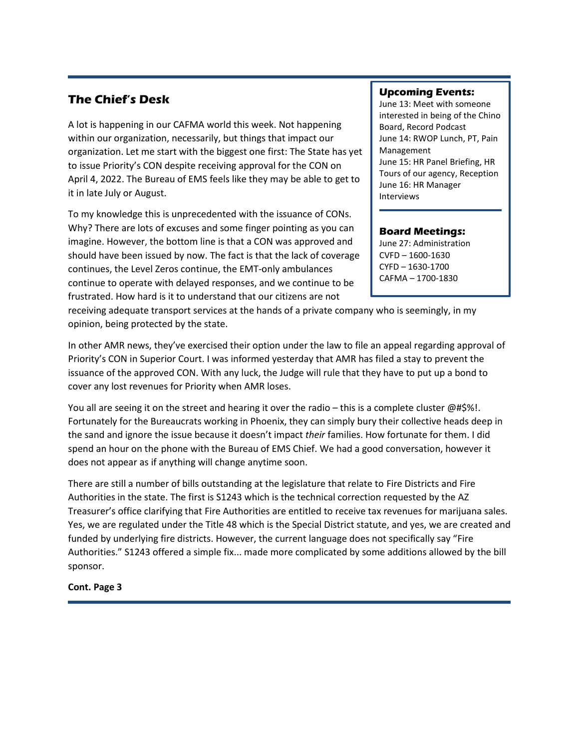# **The Chief's Desk**

A lot is happening in our CAFMA world this week. Not happening within our organization, necessarily, but things that impact our organization. Let me start with the biggest one first: The State has yet to issue Priority's CON despite receiving approval for the CON on April 4, 2022. The Bureau of EMS feels like they may be able to get to it in late July or August.

To my knowledge this is unprecedented with the issuance of CONs. Why? There are lots of excuses and some finger pointing as you can imagine. However, the bottom line is that a CON was approved and should have been issued by now. The fact is that the lack of coverage continues, the Level Zeros continue, the EMT-only ambulances continue to operate with delayed responses, and we continue to be frustrated. How hard is it to understand that our citizens are not

### **Upcoming Events:**

June 13: Meet with someone interested in being of the Chino Board, Record Podcast June 14: RWOP Lunch, PT, Pain Management June 15: HR Panel Briefing, HR Tours of our agency, Reception June 16: HR Manager Interviews

#### **Board Meetings:**

June 27: Administration CVFD – 1600-1630 CYFD – 1630-1700 CAFMA – 1700-1830

receiving adequate transport services at the hands of a private company who is seemingly, in my opinion, being protected by the state.

In other AMR news, they've exercised their option under the law to file an appeal regarding approval of Priority's CON in Superior Court. I was informed yesterday that AMR has filed a stay to prevent the issuance of the approved CON. With any luck, the Judge will rule that they have to put up a bond to cover any lost revenues for Priority when AMR loses.

You all are seeing it on the street and hearing it over the radio – this is a complete cluster @#\$%!. Fortunately for the Bureaucrats working in Phoenix, they can simply bury their collective heads deep in the sand and ignore the issue because it doesn't impact *their* families. How fortunate for them. I did spend an hour on the phone with the Bureau of EMS Chief. We had a good conversation, however it does not appear as if anything will change anytime soon.

There are still a number of bills outstanding at the legislature that relate to Fire Districts and Fire Authorities in the state. The first is S1243 which is the technical correction requested by the AZ Treasurer's office clarifying that Fire Authorities are entitled to receive tax revenues for marijuana sales. Yes, we are regulated under the Title 48 which is the Special District statute, and yes, we are created and funded by underlying fire districts. However, the current language does not specifically say "Fire Authorities." S1243 offered a simple fix... made more complicated by some additions allowed by the bill sponsor.

## **Cont. Page 3**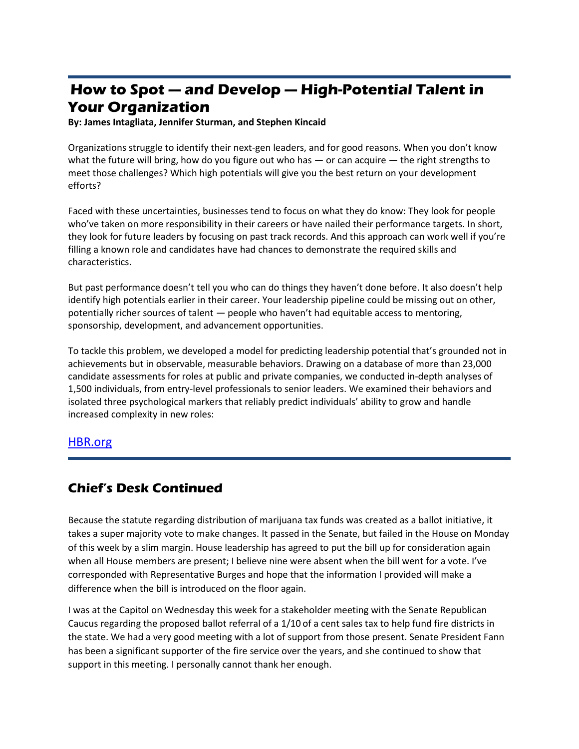# **How to Spot — and Develop — High-Potential Talent in Your Organization**

**By: James Intagliata, Jennifer Sturman, and Stephen Kincaid** 

Organizations struggle to identify their next-gen leaders, and for good reasons. When you don't know what the future will bring, how do you figure out who has — or can acquire — the right strengths to meet those challenges? Which high potentials will give you the best return on your development efforts?

Faced with these uncertainties, businesses tend to focus on what they do know: They look for people who've taken on more responsibility in their careers or have nailed their performance targets. In short, they look for future leaders by focusing on past track records. And this approach can work well if you're filling a known role and candidates have had chances to demonstrate the required skills and characteristics.

But past performance doesn't tell you who can do things they haven't done before. It also doesn't help identify high potentials earlier in their career. Your leadership pipeline could be missing out on other, potentially richer sources of talent — people who haven't had equitable access to mentoring, sponsorship, development, and advancement opportunities.

To tackle this problem, we developed a model for predicting leadership potential that's grounded not in achievements but in observable, measurable behaviors. Drawing on a database of more than 23,000 candidate assessments for roles at public and private companies, we conducted in-depth analyses of 1,500 individuals, from entry-level professionals to senior leaders. We examined their behaviors and isolated three psychological markers that reliably predict individuals' ability to grow and handle increased complexity in new roles:

## [HBR.org](https://hbr.org/2022/05/how-to-spot-and-develop-high-potential-talent-in-your-organization?ab=hero-subleft-1)

# **Chief's Desk Continued**

Because the statute regarding distribution of marijuana tax funds was created as a ballot initiative, it takes a super majority vote to make changes. It passed in the Senate, but failed in the House on Monday of this week by a slim margin. House leadership has agreed to put the bill up for consideration again when all House members are present; I believe nine were absent when the bill went for a vote. I've corresponded with Representative Burges and hope that the information I provided will make a difference when the bill is introduced on the floor again.

I was at the Capitol on Wednesday this week for a stakeholder meeting with the Senate Republican Caucus regarding the proposed ballot referral of a 1/10 of a cent sales tax to help fund fire districts in the state. We had a very good meeting with a lot of support from those present. Senate President Fann has been a significant supporter of the fire service over the years, and she continued to show that support in this meeting. I personally cannot thank her enough.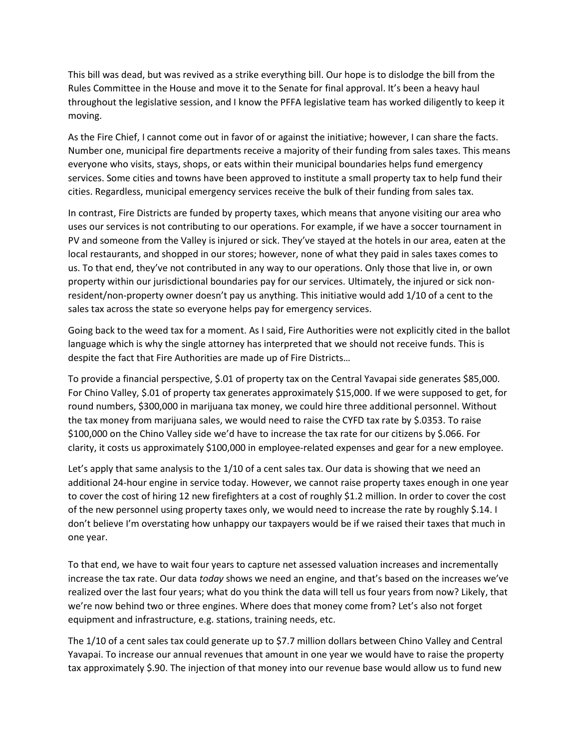This bill was dead, but was revived as a strike everything bill. Our hope is to dislodge the bill from the Rules Committee in the House and move it to the Senate for final approval. It's been a heavy haul throughout the legislative session, and I know the PFFA legislative team has worked diligently to keep it moving.

As the Fire Chief, I cannot come out in favor of or against the initiative; however, I can share the facts. Number one, municipal fire departments receive a majority of their funding from sales taxes. This means everyone who visits, stays, shops, or eats within their municipal boundaries helps fund emergency services. Some cities and towns have been approved to institute a small property tax to help fund their cities. Regardless, municipal emergency services receive the bulk of their funding from sales tax.

In contrast, Fire Districts are funded by property taxes, which means that anyone visiting our area who uses our services is not contributing to our operations. For example, if we have a soccer tournament in PV and someone from the Valley is injured or sick. They've stayed at the hotels in our area, eaten at the local restaurants, and shopped in our stores; however, none of what they paid in sales taxes comes to us. To that end, they've not contributed in any way to our operations. Only those that live in, or own property within our jurisdictional boundaries pay for our services. Ultimately, the injured or sick nonresident/non-property owner doesn't pay us anything. This initiative would add 1/10 of a cent to the sales tax across the state so everyone helps pay for emergency services.

Going back to the weed tax for a moment. As I said, Fire Authorities were not explicitly cited in the ballot language which is why the single attorney has interpreted that we should not receive funds. This is despite the fact that Fire Authorities are made up of Fire Districts…

To provide a financial perspective, \$.01 of property tax on the Central Yavapai side generates \$85,000. For Chino Valley, \$.01 of property tax generates approximately \$15,000. If we were supposed to get, for round numbers, \$300,000 in marijuana tax money, we could hire three additional personnel. Without the tax money from marijuana sales, we would need to raise the CYFD tax rate by \$.0353. To raise \$100,000 on the Chino Valley side we'd have to increase the tax rate for our citizens by \$.066. For clarity, it costs us approximately \$100,000 in employee-related expenses and gear for a new employee.

Let's apply that same analysis to the 1/10 of a cent sales tax. Our data is showing that we need an additional 24-hour engine in service today. However, we cannot raise property taxes enough in one year to cover the cost of hiring 12 new firefighters at a cost of roughly \$1.2 million. In order to cover the cost of the new personnel using property taxes only, we would need to increase the rate by roughly \$.14. I don't believe I'm overstating how unhappy our taxpayers would be if we raised their taxes that much in one year.

To that end, we have to wait four years to capture net assessed valuation increases and incrementally increase the tax rate. Our data *today* shows we need an engine, and that's based on the increases we've realized over the last four years; what do you think the data will tell us four years from now? Likely, that we're now behind two or three engines. Where does that money come from? Let's also not forget equipment and infrastructure, e.g. stations, training needs, etc.

The 1/10 of a cent sales tax could generate up to \$7.7 million dollars between Chino Valley and Central Yavapai. To increase our annual revenues that amount in one year we would have to raise the property tax approximately \$.90. The injection of that money into our revenue base would allow us to fund new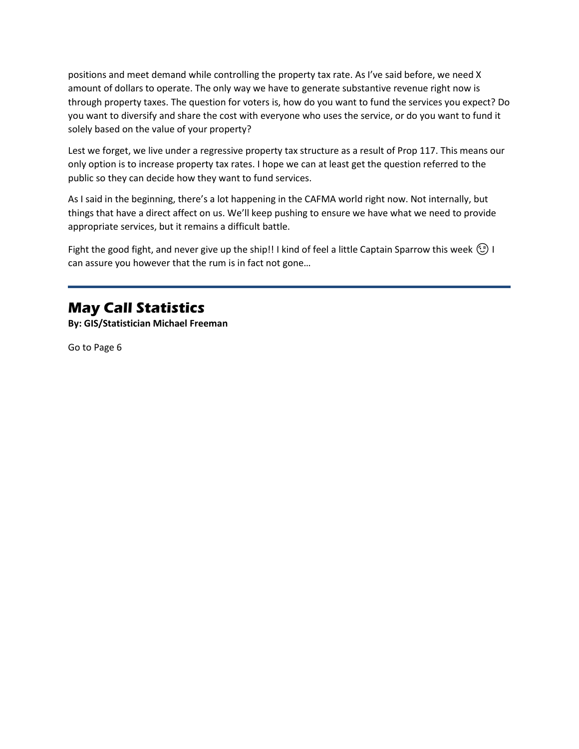positions and meet demand while controlling the property tax rate. As I've said before, we need X amount of dollars to operate. The only way we have to generate substantive revenue right now is through property taxes. The question for voters is, how do you want to fund the services you expect? Do you want to diversify and share the cost with everyone who uses the service, or do you want to fund it solely based on the value of your property?

Lest we forget, we live under a regressive property tax structure as a result of Prop 117. This means our only option is to increase property tax rates. I hope we can at least get the question referred to the public so they can decide how they want to fund services.

As I said in the beginning, there's a lot happening in the CAFMA world right now. Not internally, but things that have a direct affect on us. We'll keep pushing to ensure we have what we need to provide appropriate services, but it remains a difficult battle.

Fight the good fight, and never give up the ship!! I kind of feel a little Captain Sparrow this week  $\circled{1}$  I can assure you however that the rum is in fact not gone…

# **May Call Statistics**

**By: GIS/Statistician Michael Freeman**

Go to Page 6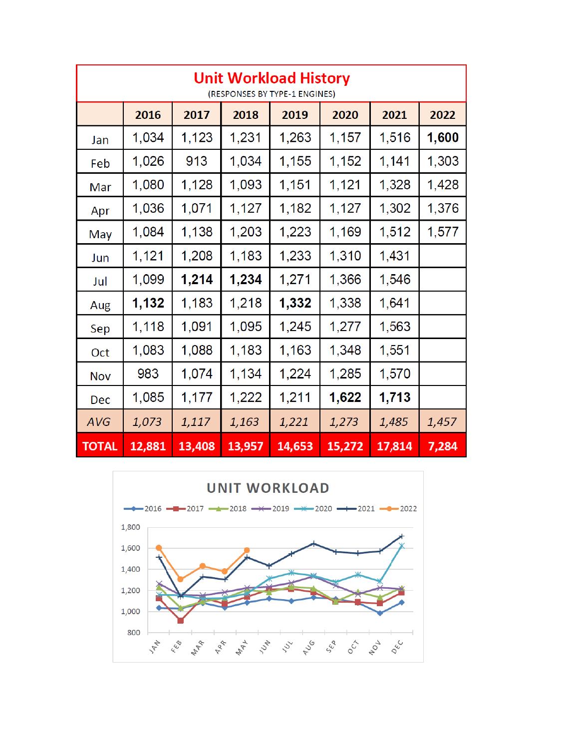| <b>Unit Workload History</b><br>(RESPONSES BY TYPE-1 ENGINES) |        |        |        |        |        |        |       |
|---------------------------------------------------------------|--------|--------|--------|--------|--------|--------|-------|
|                                                               | 2016   | 2017   | 2018   | 2019   | 2020   | 2021   | 2022  |
| Jan                                                           | 1,034  | 1,123  | 1,231  | 1,263  | 1,157  | 1,516  | 1,600 |
| Feb                                                           | 1,026  | 913    | 1,034  | 1,155  | 1,152  | 1,141  | 1,303 |
| Mar                                                           | 1,080  | 1,128  | 1,093  | 1,151  | 1,121  | 1,328  | 1,428 |
| Apr                                                           | 1,036  | 1,071  | 1,127  | 1,182  | 1,127  | 1,302  | 1,376 |
| May                                                           | 1,084  | 1,138  | 1,203  | 1,223  | 1,169  | 1,512  | 1,577 |
| Jun                                                           | 1,121  | 1,208  | 1,183  | 1,233  | 1,310  | 1,431  |       |
| Jul                                                           | 1,099  | 1,214  | 1,234  | 1,271  | 1,366  | 1,546  |       |
| Aug                                                           | 1,132  | 1,183  | 1,218  | 1,332  | 1,338  | 1,641  |       |
| Sep                                                           | 1,118  | 1,091  | 1,095  | 1,245  | 1,277  | 1,563  |       |
| Oct                                                           | 1,083  | 1,088  | 1,183  | 1,163  | 1,348  | 1,551  |       |
| <b>Nov</b>                                                    | 983    | 1,074  | 1,134  | 1,224  | 1,285  | 1,570  |       |
| Dec                                                           | 1,085  | 1,177  | 1,222  | 1,211  | 1,622  | 1,713  |       |
| <b>AVG</b>                                                    | 1,073  | 1,117  | 1,163  | 1,221  | 1,273  | 1,485  | 1,457 |
| <b>TOTAL</b>                                                  | 12,881 | 13,408 | 13,957 | 14,653 | 15,272 | 17,814 | 7,284 |